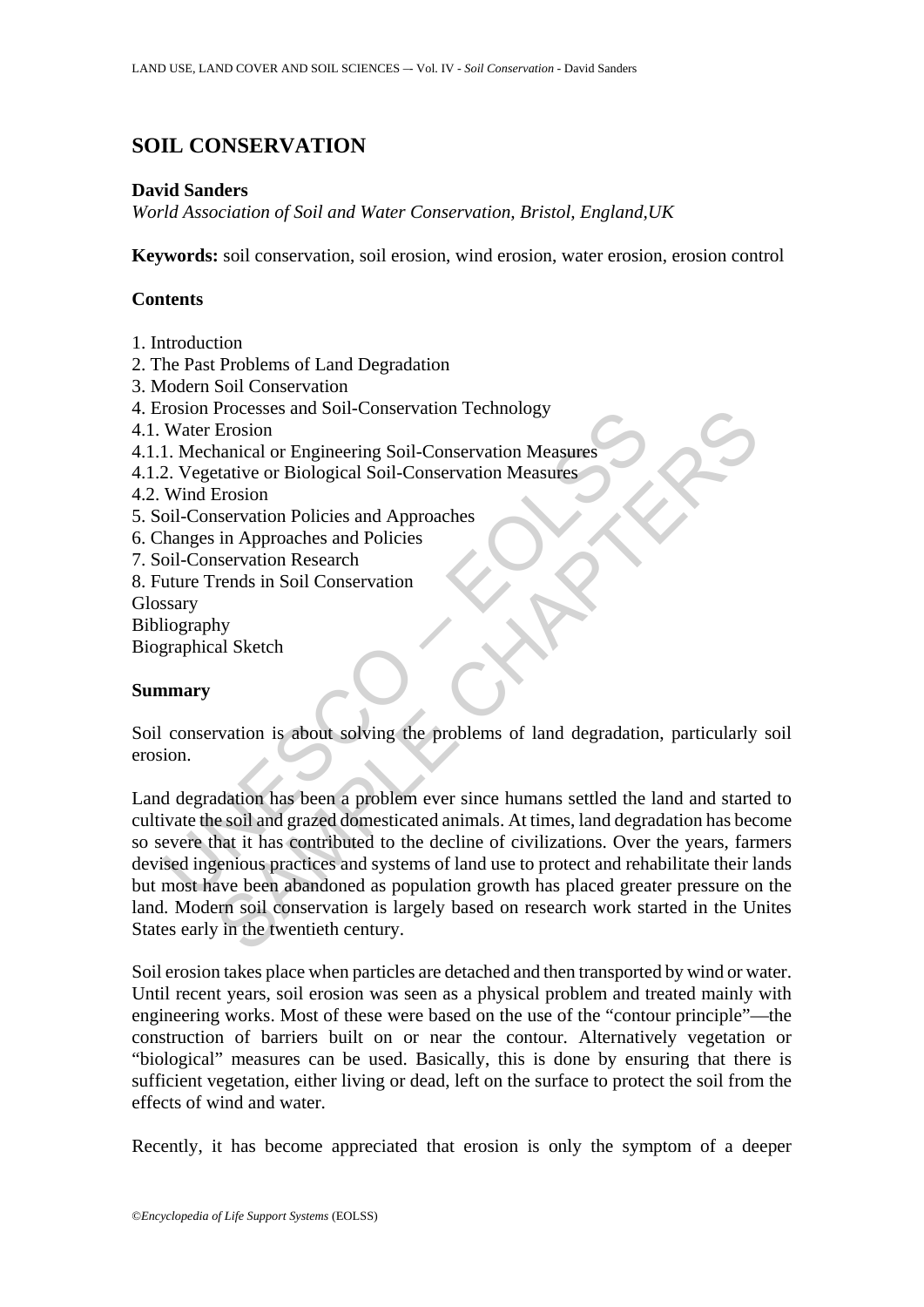# **SOIL CONSERVATION**

### **David Sanders**

*World Association of Soil and Water Conservation, Bristol, England,UK* 

**Keywords:** soil conservation, soil erosion, wind erosion, water erosion, erosion control

# **Contents**

- 1. Introduction
- 2. The Past Problems of Land Degradation
- 3. Modern Soil Conservation
- 4. Erosion Processes and Soil-Conservation Technology
- 4.1. Water Erosion
- 4.1.1. Mechanical or Engineering Soil-Conservation Measures
- 4.1.2. Vegetative or Biological Soil-Conservation Measures
- 4.2. Wind Erosion
- 5. Soil-Conservation Policies and Approaches
- 6. Changes in Approaches and Policies
- 7. Soil-Conservation Research
- 8. Future Trends in Soil Conservation
- Glossary
- Bibliography

Biographical Sketch

# **Summary**

Soil conservation is about solving the problems of land degradation, particularly soil erosion.

To<br>such a metal consists and Soli-Conservation Technology<br>
Water Erosion<br>
Water Engineering Soli-Conservation Measures<br>
2. Vegetative or Biological Soil-Conservation Measures<br>
Wind Erosion<br>
wind Erosion<br>
conservation Polic Processes and Soll-Conservation Technology<br>
Erosion<br>
Ensign ancicl or Engineering Soll-Conservation Measures<br>
Strative or Biological Soll-Conservation Measures<br>
SENS EXERCATE<br>
Ensign and Approaches<br>
SENS in Approaches and Land degradation has been a problem ever since humans settled the land and started to cultivate the soil and grazed domesticated animals. At times, land degradation has become so severe that it has contributed to the decline of civilizations. Over the years, farmers devised ingenious practices and systems of land use to protect and rehabilitate their lands but most have been abandoned as population growth has placed greater pressure on the land. Modern soil conservation is largely based on research work started in the Unites States early in the twentieth century.

Soil erosion takes place when particles are detached and then transported by wind or water. Until recent years, soil erosion was seen as a physical problem and treated mainly with engineering works. Most of these were based on the use of the "contour principle"—the construction of barriers built on or near the contour. Alternatively vegetation or "biological" measures can be used. Basically, this is done by ensuring that there is sufficient vegetation, either living or dead, left on the surface to protect the soil from the effects of wind and water.

Recently, it has become appreciated that erosion is only the symptom of a deeper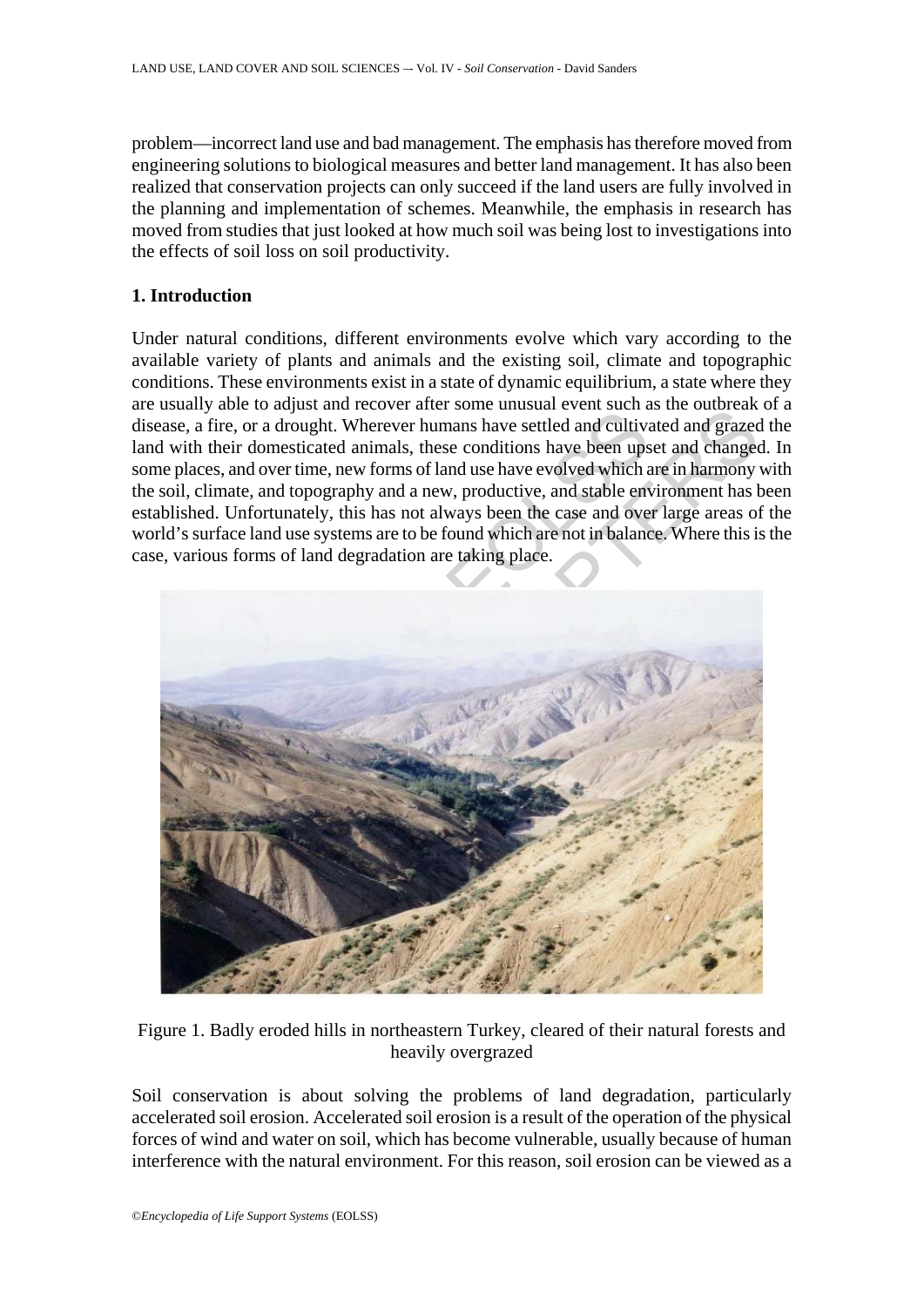problem—incorrect land use and bad management. The emphasis has therefore moved from engineering solutions to biological measures and better land management. It has also been realized that conservation projects can only succeed if the land users are fully involved in the planning and implementation of schemes. Meanwhile, the emphasis in research has moved from studies that just looked at how much soil was being lost to investigations into the effects of soil loss on soil productivity.

#### **1. Introduction**

Under natural conditions, different environments evolve which vary according to the available variety of plants and animals and the existing soil, climate and topographic conditions. These environments exist in a state of dynamic equilibrium, a state where they are usually able to adjust and recover after some unusual event such as the outbreak of a disease, a fire, or a drought. Wherever humans have settled and cultivated and grazed the land with their domesticated animals, these conditions have been upset and changed. In some places, and over time, new forms of land use have evolved which are in harmony with the soil, climate, and topography and a new, productive, and stable environment has been established. Unfortunately, this has not always been the case and over large areas of the world's surface land use systems are to be found which are not in balance. Where this is the case, various forms of land degradation are taking place.



Figure 1. Badly eroded hills in northeastern Turkey, cleared of their natural forests and heavily overgrazed

Soil conservation is about solving the problems of land degradation, particularly accelerated soil erosion. Accelerated soil erosion is a result of the operation of the physical forces of wind and water on soil, which has become vulnerable, usually because of human interference with the natural environment. For this reason, soil erosion can be viewed as a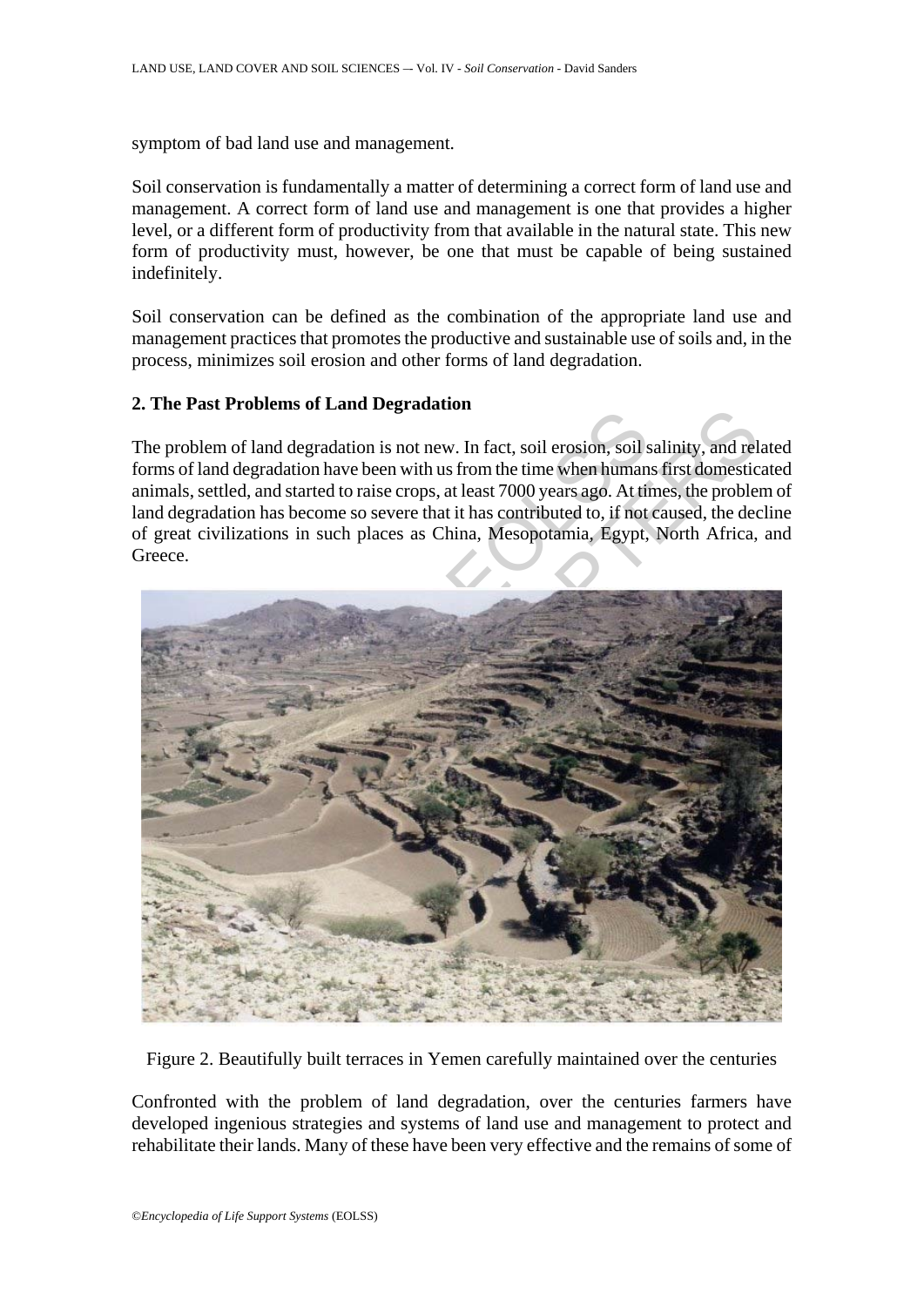symptom of bad land use and management.

Soil conservation is fundamentally a matter of determining a correct form of land use and management. A correct form of land use and management is one that provides a higher level, or a different form of productivity from that available in the natural state. This new form of productivity must, however, be one that must be capable of being sustained indefinitely.

Soil conservation can be defined as the combination of the appropriate land use and management practices that promotes the productive and sustainable use of soils and, in the process, minimizes soil erosion and other forms of land degradation.

### **2. The Past Problems of Land Degradation**

The problem of land degradation is not new. In fact, soil erosion, soil salinity, and related forms of land degradation have been with us from the time when humans first domesticated animals, settled, and started to raise crops, at least 7000 years ago. At times, the problem of land degradation has become so severe that it has contributed to, if not caused, the decline of great civilizations in such places as China, Mesopotamia, Egypt, North Africa, and Greece.



Figure 2. Beautifully built terraces in Yemen carefully maintained over the centuries

Confronted with the problem of land degradation, over the centuries farmers have developed ingenious strategies and systems of land use and management to protect and rehabilitate their lands. Many of these have been very effective and the remains of some of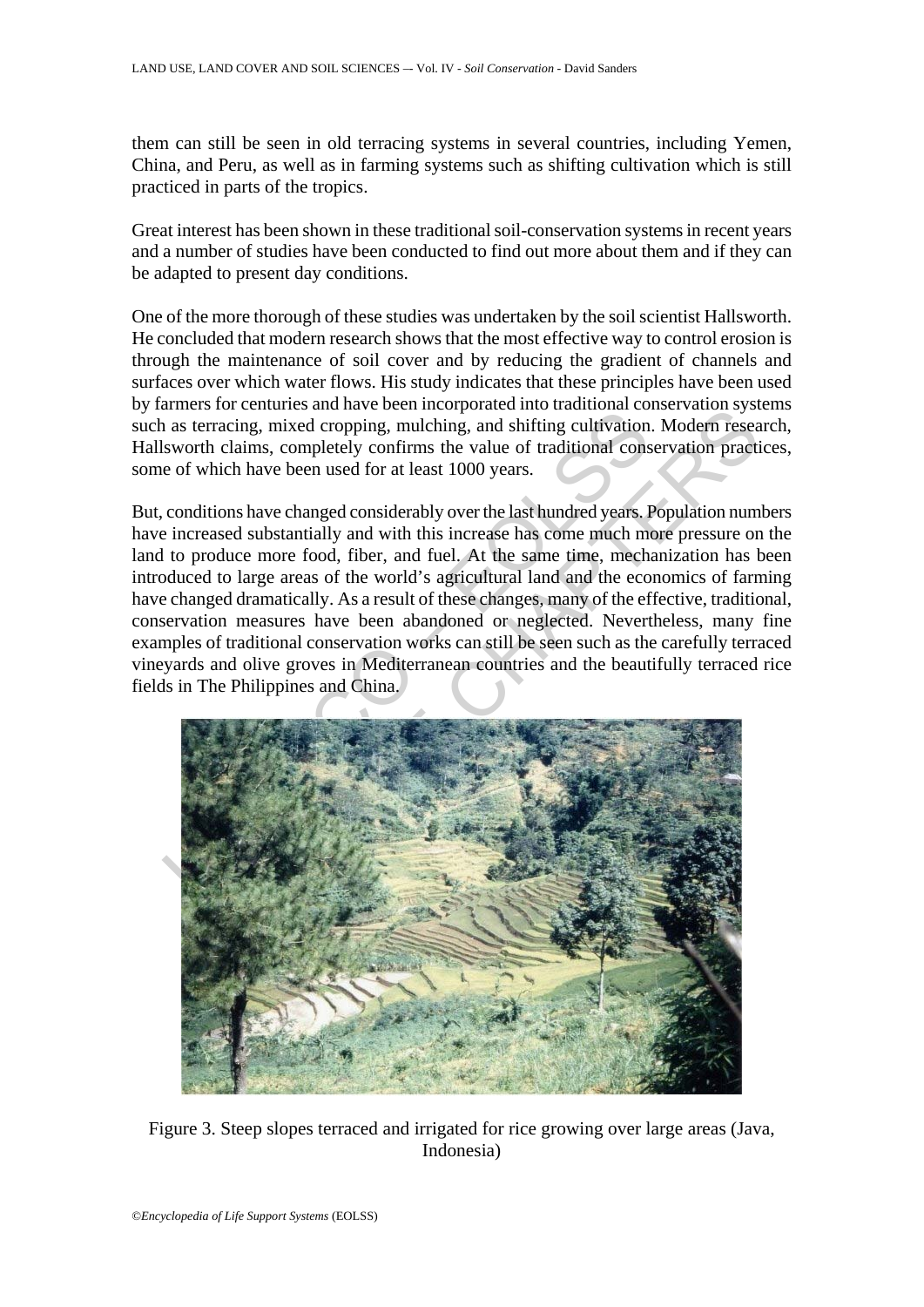them can still be seen in old terracing systems in several countries, including Yemen, China, and Peru, as well as in farming systems such as shifting cultivation which is still practiced in parts of the tropics.

Great interest has been shown in these traditional soil-conservation systems in recent years and a number of studies have been conducted to find out more about them and if they can be adapted to present day conditions.

One of the more thorough of these studies was undertaken by the soil scientist Hallsworth. He concluded that modern research shows that the most effective way to control erosion is through the maintenance of soil cover and by reducing the gradient of channels and surfaces over which water flows. His study indicates that these principles have been used by farmers for centuries and have been incorporated into traditional conservation systems such as terracing, mixed cropping, mulching, and shifting cultivation. Modern research, Hallsworth claims, completely confirms the value of traditional conservation practices, some of which have been used for at least 1000 years.

But, conditions have changed considerably over the last hundred years. Population numbers have increased substantially and with this increase has come much more pressure on the land to produce more food, fiber, and fuel. At the same time, mechanization has been introduced to large areas of the world's agricultural land and the economics of farming have changed dramatically. As a result of these changes, many of the effective, traditional, conservation measures have been abandoned or neglected. Nevertheless, many fine examples of traditional conservation works can still be seen such as the carefully terraced vineyards and olive groves in Mediterranean countries and the beautifully terraced rice fields in The Philippines and China.



Figure 3. Steep slopes terraced and irrigated for rice growing over large areas (Java, Indonesia)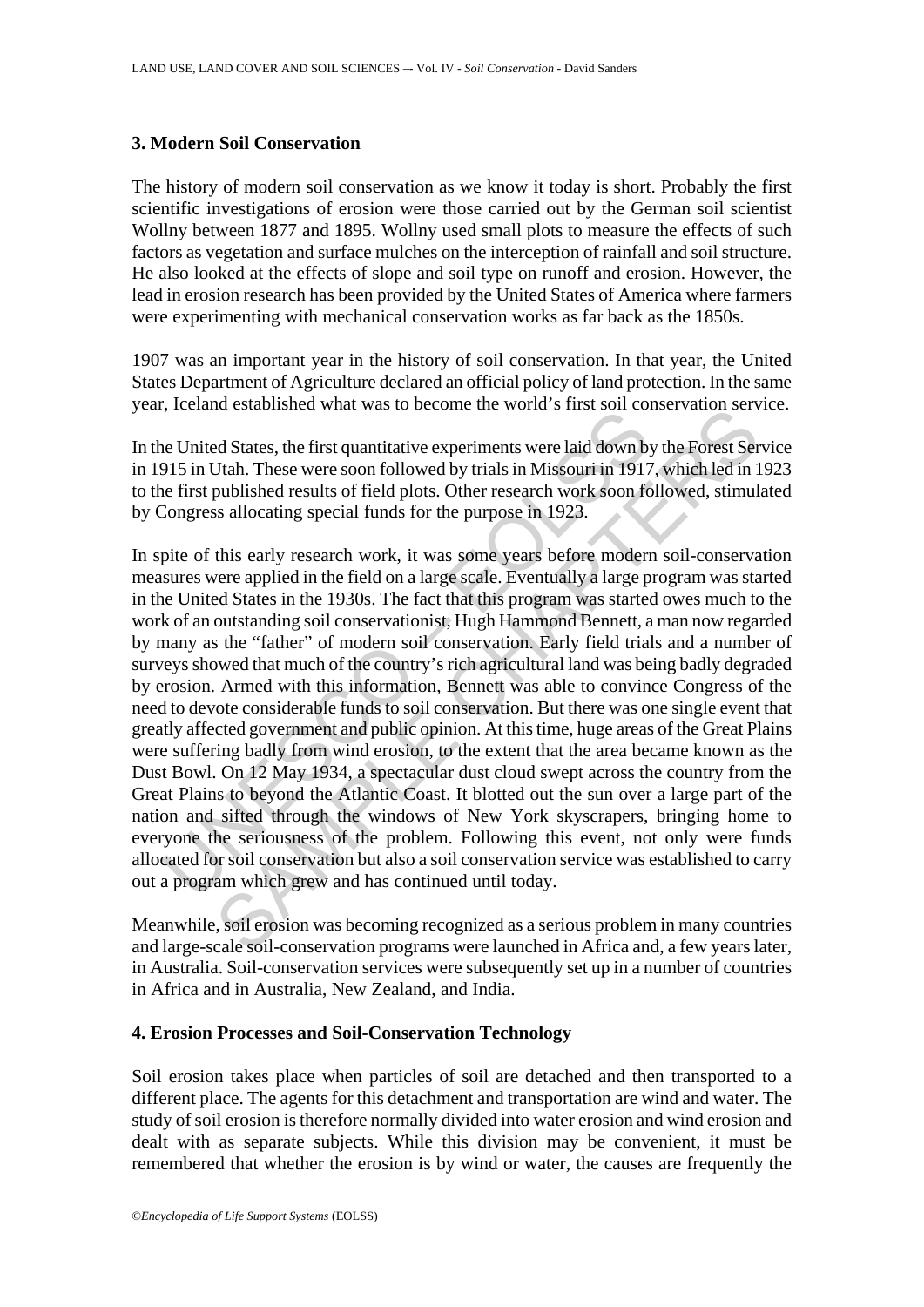### **3. Modern Soil Conservation**

The history of modern soil conservation as we know it today is short. Probably the first scientific investigations of erosion were those carried out by the German soil scientist Wollny between 1877 and 1895. Wollny used small plots to measure the effects of such factors as vegetation and surface mulches on the interception of rainfall and soil structure. He also looked at the effects of slope and soil type on runoff and erosion. However, the lead in erosion research has been provided by the United States of America where farmers were experimenting with mechanical conservation works as far back as the 1850s.

1907 was an important year in the history of soil conservation. In that year, the United States Department of Agriculture declared an official policy of land protection. In the same year, Iceland established what was to become the world's first soil conservation service.

In the United States, the first quantitative experiments were laid down by the Forest Service in 1915 in Utah. These were soon followed by trials in Missouri in 1917, which led in 1923 to the first published results of field plots. Other research work soon followed, stimulated by Congress allocating special funds for the purpose in 1923.

related states, the first quantitative experiments were laid down by<br>15 in Utah. These were soon followed by trials in Missouri in 1917<br>of einst published results of field plots. Other research work soon fc<br>Congress alloca at established what was to become the world s intst som conservation served States, the first quantitative experiments were laid down by the Forest Servets. Then These were soon followed by trials in Missouri in 1917, whic In spite of this early research work, it was some years before modern soil-conservation measures were applied in the field on a large scale. Eventually a large program was started in the United States in the 1930s. The fact that this program was started owes much to the work of an outstanding soil conservationist, Hugh Hammond Bennett, a man now regarded by many as the "father" of modern soil conservation. Early field trials and a number of surveys showed that much of the country's rich agricultural land was being badly degraded by erosion. Armed with this information, Bennett was able to convince Congress of the need to devote considerable funds to soil conservation. But there was one single event that greatly affected government and public opinion. At this time, huge areas of the Great Plains were suffering badly from wind erosion, to the extent that the area became known as the Dust Bowl. On 12 May 1934, a spectacular dust cloud swept across the country from the Great Plains to beyond the Atlantic Coast. It blotted out the sun over a large part of the nation and sifted through the windows of New York skyscrapers, bringing home to everyone the seriousness of the problem. Following this event, not only were funds allocated for soil conservation but also a soil conservation service was established to carry out a program which grew and has continued until today.

Meanwhile, soil erosion was becoming recognized as a serious problem in many countries and large-scale soil-conservation programs were launched in Africa and, a few years later, in Australia. Soil-conservation services were subsequently set up in a number of countries in Africa and in Australia, New Zealand, and India.

#### **4. Erosion Processes and Soil-Conservation Technology**

Soil erosion takes place when particles of soil are detached and then transported to a different place. The agents for this detachment and transportation are wind and water. The study of soil erosion is therefore normally divided into water erosion and wind erosion and dealt with as separate subjects. While this division may be convenient, it must be remembered that whether the erosion is by wind or water, the causes are frequently the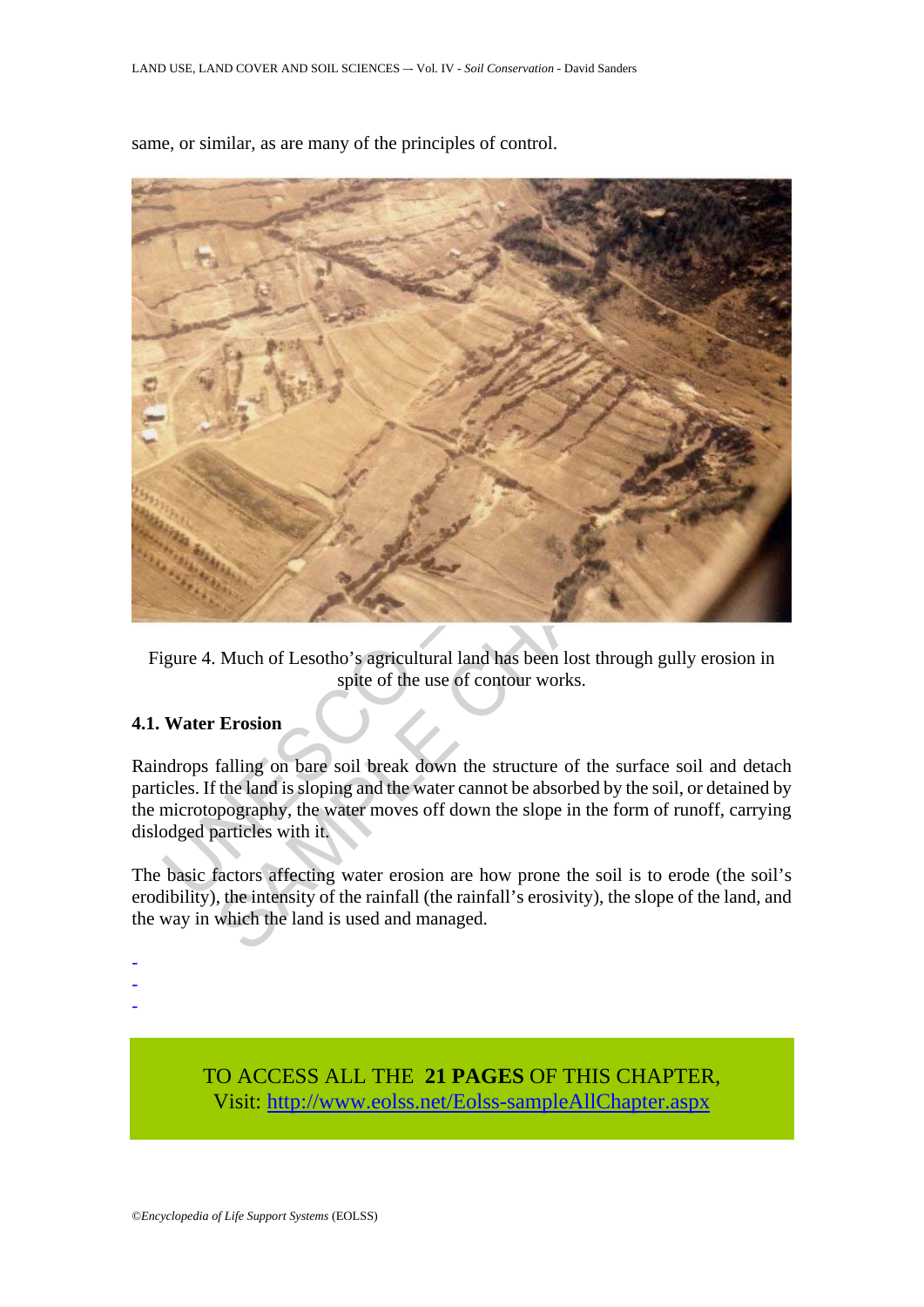

same, or similar, as are many of the principles of control.

Figure 4. Much of Lesotho's agricultural land has been lost through gully erosion in spite of the use of contour works.

# **4.1. Water Erosion**

Raindrops falling on bare soil break down the structure of the surface soil and detach particles. If the land is sloping and the water cannot be absorbed by the soil, or detained by the microtopography, the water moves off down the slope in the form of runoff, carrying dislodged particles with it.

The basic factors affecting water erosion are how prone the soil is to erode (the soil's erodibility), the intensity of the rainfall (the rainfall's erosivity), the slope of the land, and the way in which the land is used and managed.

-

- -
- -

TO ACCESS ALL THE **21 PAGES** OF THIS CHAPTER, Visit[: http://www.eolss.net/Eolss-sampleAllChapter.aspx](https://www.eolss.net/ebooklib/sc_cart.aspx?File=E1-05-04-06)